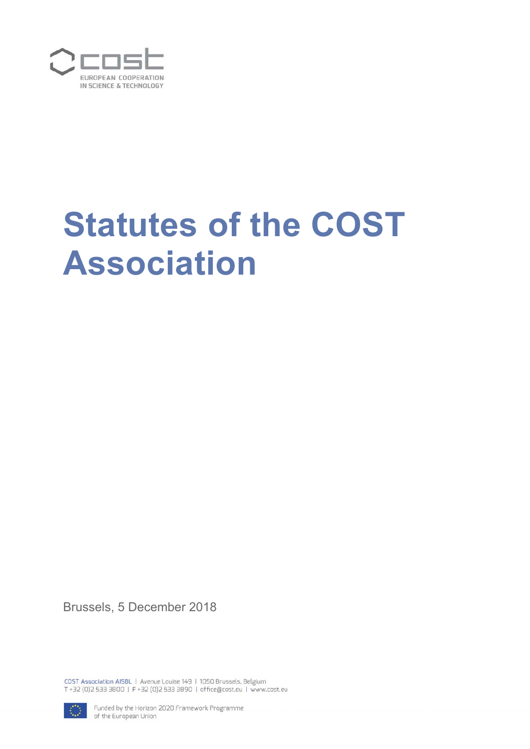

# **Statutes of the COST Association**

Brussels, 5 December 2018

COST Association AISBL | Avenue Louise 149 | 1050 Brussels, Belgium T+32 (0)2 533 3800 | F+32 (0)2 533 3890 | office@cost.eu | www.cost.eu



Funded by the Horizon 2020 Framework Programme of the European Union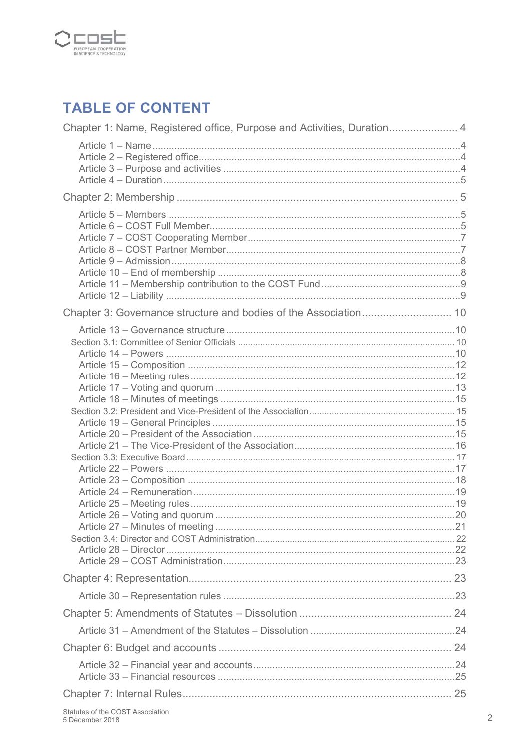

# **TABLE OF CONTENT**

| Chapter 1: Name, Registered office, Purpose and Activities, Duration 4 |  |
|------------------------------------------------------------------------|--|
|                                                                        |  |
|                                                                        |  |
|                                                                        |  |
|                                                                        |  |
|                                                                        |  |
|                                                                        |  |
|                                                                        |  |
|                                                                        |  |
|                                                                        |  |
|                                                                        |  |
|                                                                        |  |
|                                                                        |  |
|                                                                        |  |
|                                                                        |  |
|                                                                        |  |
|                                                                        |  |
|                                                                        |  |
|                                                                        |  |
|                                                                        |  |
|                                                                        |  |
|                                                                        |  |
|                                                                        |  |
|                                                                        |  |
|                                                                        |  |
|                                                                        |  |
|                                                                        |  |
|                                                                        |  |
|                                                                        |  |
|                                                                        |  |
|                                                                        |  |
|                                                                        |  |
|                                                                        |  |
|                                                                        |  |
|                                                                        |  |
|                                                                        |  |
|                                                                        |  |
|                                                                        |  |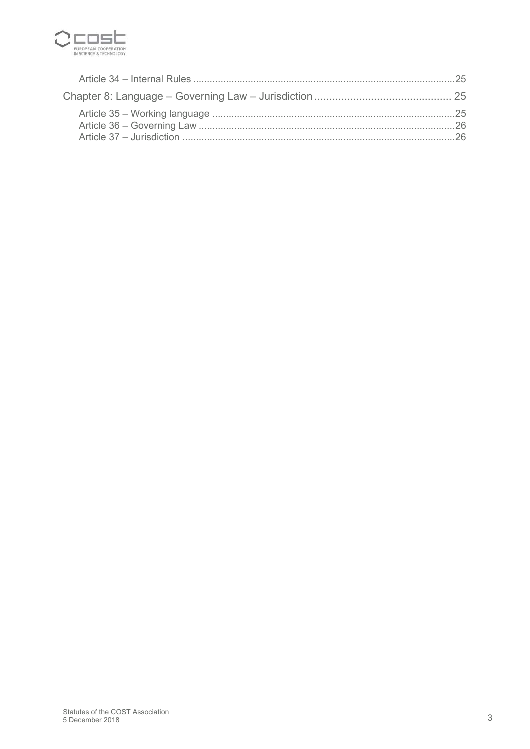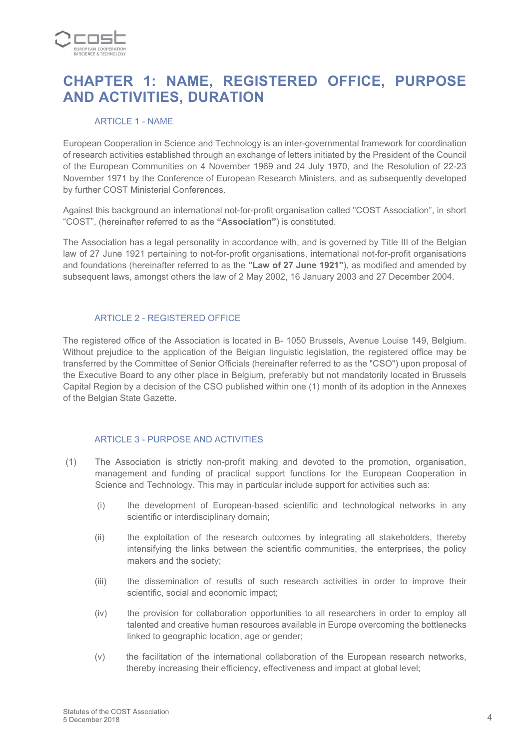

# **CHAPTER 1: NAME, REGISTERED OFFICE, PURPOSE AND ACTIVITIES, DURATION**

#### ARTICLE 1 - NAME

European Cooperation in Science and Technology is an inter-governmental framework for coordination of research activities established through an exchange of letters initiated by the President of the Council of the European Communities on 4 November 1969 and 24 July 1970, and the Resolution of 22-23 November 1971 by the Conference of European Research Ministers, and as subsequently developed by further COST Ministerial Conferences.

Against this background an international not-for-profit organisation called "COST Association", in short "COST", (hereinafter referred to as the **"Association"**) is constituted.

The Association has a legal personality in accordance with, and is governed by Title III of the Belgian law of 27 June 1921 pertaining to not-for-profit organisations, international not-for-profit organisations and foundations (hereinafter referred to as the **"Law of 27 June 1921"**), as modified and amended by subsequent laws, amongst others the law of 2 May 2002, 16 January 2003 and 27 December 2004.

#### ARTICLE 2 - REGISTERED OFFICE

The registered office of the Association is located in B- 1050 Brussels, Avenue Louise 149, Belgium. Without prejudice to the application of the Belgian linguistic legislation, the registered office may be transferred by the Committee of Senior Officials (hereinafter referred to as the "CSO") upon proposal of the Executive Board to any other place in Belgium, preferably but not mandatorily located in Brussels Capital Region by a decision of the CSO published within one (1) month of its adoption in the Annexes of the Belgian State Gazette.

#### ARTICLE 3 - PURPOSE AND ACTIVITIES

- (1) The Association is strictly non-profit making and devoted to the promotion, organisation, management and funding of practical support functions for the European Cooperation in Science and Technology. This may in particular include support for activities such as:
	- (i) the development of European-based scientific and technological networks in any scientific or interdisciplinary domain;
	- (ii) the exploitation of the research outcomes by integrating all stakeholders, thereby intensifying the links between the scientific communities, the enterprises, the policy makers and the society;
	- (iii) the dissemination of results of such research activities in order to improve their scientific, social and economic impact;
	- (iv) the provision for collaboration opportunities to all researchers in order to employ all talented and creative human resources available in Europe overcoming the bottlenecks linked to geographic location, age or gender;
	- (v) the facilitation of the international collaboration of the European research networks, thereby increasing their efficiency, effectiveness and impact at global level;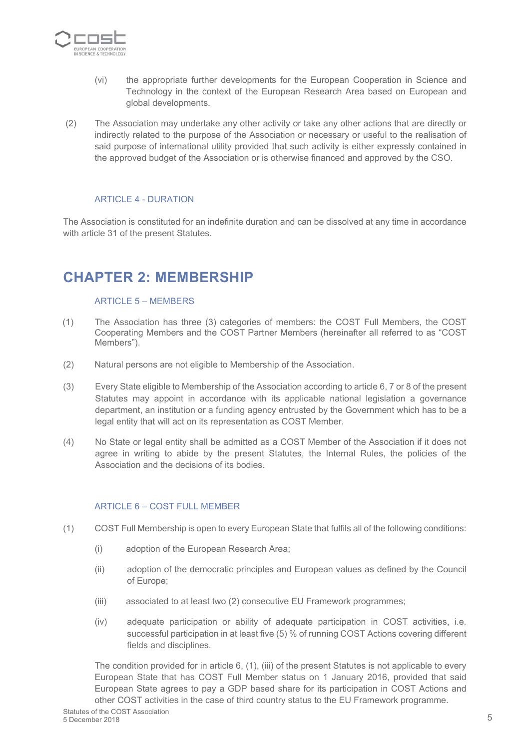

- (vi) the appropriate further developments for the European Cooperation in Science and Technology in the context of the European Research Area based on European and global developments.
- (2) The Association may undertake any other activity or take any other actions that are directly or indirectly related to the purpose of the Association or necessary or useful to the realisation of said purpose of international utility provided that such activity is either expressly contained in the approved budget of the Association or is otherwise financed and approved by the CSO.

#### ARTICLE 4 - DURATION

The Association is constituted for an indefinite duration and can be dissolved at any time in accordance with article 31 of the present Statutes.

# **CHAPTER 2: MEMBERSHIP**

#### ARTICLE 5 – MEMBERS

- (1) The Association has three (3) categories of members: the COST Full Members, the COST Cooperating Members and the COST Partner Members (hereinafter all referred to as "COST Members").
- (2) Natural persons are not eligible to Membership of the Association.
- (3) Every State eligible to Membership of the Association according to article 6, 7 or 8 of the present Statutes may appoint in accordance with its applicable national legislation a governance department, an institution or a funding agency entrusted by the Government which has to be a legal entity that will act on its representation as COST Member.
- (4) No State or legal entity shall be admitted as a COST Member of the Association if it does not agree in writing to abide by the present Statutes, the Internal Rules, the policies of the Association and the decisions of its bodies.

#### ARTICLE 6 – COST FULL MEMBER

- (1) COST Full Membership is open to every European State that fulfils all of the following conditions:
	- (i) adoption of the European Research Area;
	- (ii) adoption of the democratic principles and European values as defined by the Council of Europe;
	- (iii) associated to at least two (2) consecutive EU Framework programmes;
	- (iv) adequate participation or ability of adequate participation in COST activities, i.e. successful participation in at least five (5) % of running COST Actions covering different fields and disciplines.

The condition provided for in article 6, (1), (iii) of the present Statutes is not applicable to every European State that has COST Full Member status on 1 January 2016, provided that said European State agrees to pay a GDP based share for its participation in COST Actions and other COST activities in the case of third country status to the EU Framework programme.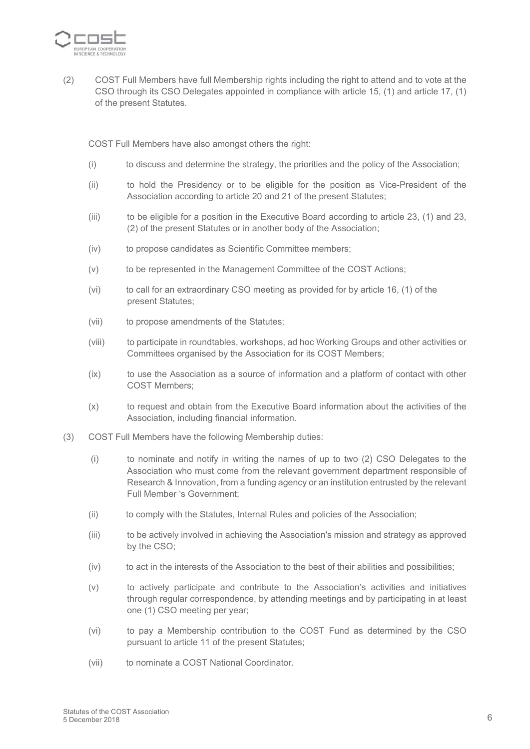

(2) COST Full Members have full Membership rights including the right to attend and to vote at the CSO through its CSO Delegates appointed in compliance with article 15, (1) and article 17, (1) of the present Statutes.

COST Full Members have also amongst others the right:

- (i) to discuss and determine the strategy, the priorities and the policy of the Association;
- (ii) to hold the Presidency or to be eligible for the position as Vice-President of the Association according to article 20 and 21 of the present Statutes;
- (iii) to be eligible for a position in the Executive Board according to article 23, (1) and 23, (2) of the present Statutes or in another body of the Association;
- (iv) to propose candidates as Scientific Committee members;
- (v) to be represented in the Management Committee of the COST Actions;
- (vi) to call for an extraordinary CSO meeting as provided for by article 16, (1) of the present Statutes;
- (vii) to propose amendments of the Statutes;
- (viii) to participate in roundtables, workshops, ad hoc Working Groups and other activities or Committees organised by the Association for its COST Members;
- (ix) to use the Association as a source of information and a platform of contact with other COST Members;
- (x) to request and obtain from the Executive Board information about the activities of the Association, including financial information.
- (3) COST Full Members have the following Membership duties:
	- (i) to nominate and notify in writing the names of up to two (2) CSO Delegates to the Association who must come from the relevant government department responsible of Research & Innovation, from a funding agency or an institution entrusted by the relevant Full Member 's Government;
	- (ii) to comply with the Statutes, Internal Rules and policies of the Association;
	- (iii) to be actively involved in achieving the Association's mission and strategy as approved by the CSO;
	- $(iv)$  to act in the interests of the Association to the best of their abilities and possibilities;
	- (v) to actively participate and contribute to the Association's activities and initiatives through regular correspondence, by attending meetings and by participating in at least one (1) CSO meeting per year;
	- (vi) to pay a Membership contribution to the COST Fund as determined by the CSO pursuant to article 11 of the present Statutes;
	- (vii) to nominate a COST National Coordinator.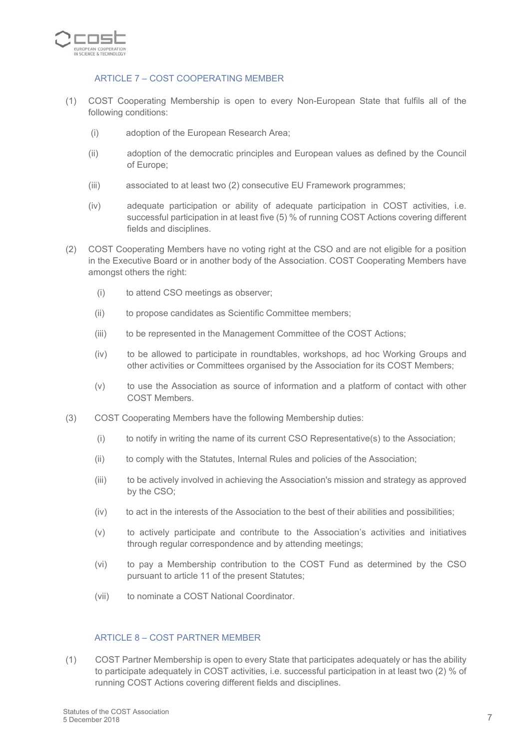

#### ARTICLE 7 – COST COOPERATING MEMBER

- (1) COST Cooperating Membership is open to every Non-European State that fulfils all of the following conditions:
	- (i) adoption of the European Research Area;
	- (ii) adoption of the democratic principles and European values as defined by the Council of Europe;
	- (iii) associated to at least two (2) consecutive EU Framework programmes;
	- (iv) adequate participation or ability of adequate participation in COST activities, i.e. successful participation in at least five (5) % of running COST Actions covering different fields and disciplines.
- (2) COST Cooperating Members have no voting right at the CSO and are not eligible for a position in the Executive Board or in another body of the Association. COST Cooperating Members have amongst others the right:
	- (i) to attend CSO meetings as observer;
	- (ii) to propose candidates as Scientific Committee members;
	- (iii) to be represented in the Management Committee of the COST Actions;
	- (iv) to be allowed to participate in roundtables, workshops, ad hoc Working Groups and other activities or Committees organised by the Association for its COST Members;
	- (v) to use the Association as source of information and a platform of contact with other COST Members.
- (3) COST Cooperating Members have the following Membership duties:
	- $(i)$  to notify in writing the name of its current CSO Representative(s) to the Association;
	- (ii) to comply with the Statutes, Internal Rules and policies of the Association;
	- (iii) to be actively involved in achieving the Association's mission and strategy as approved by the CSO;
	- $(iv)$  to act in the interests of the Association to the best of their abilities and possibilities;
	- (v) to actively participate and contribute to the Association's activities and initiatives through regular correspondence and by attending meetings;
	- (vi) to pay a Membership contribution to the COST Fund as determined by the CSO pursuant to article 11 of the present Statutes;
	- (vii) to nominate a COST National Coordinator.

#### ARTICLE 8 – COST PARTNER MEMBER

 (1) COST Partner Membership is open to every State that participates adequately or has the ability to participate adequately in COST activities, i.e. successful participation in at least two (2) % of running COST Actions covering different fields and disciplines.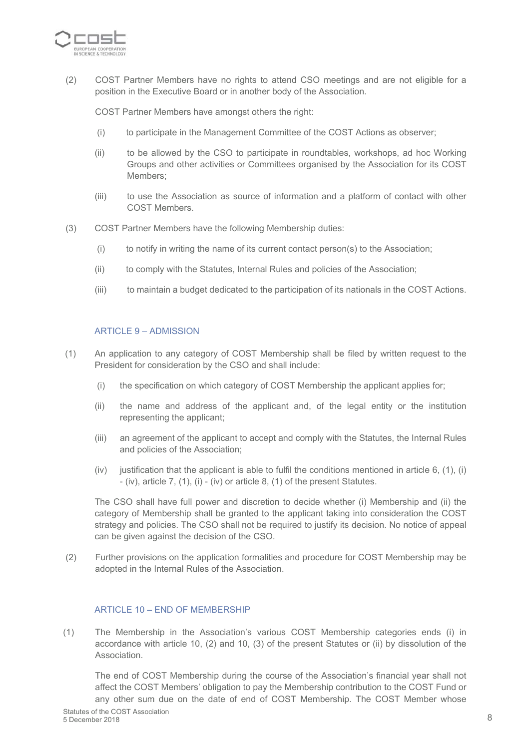

 (2) COST Partner Members have no rights to attend CSO meetings and are not eligible for a position in the Executive Board or in another body of the Association.

COST Partner Members have amongst others the right:

- (i) to participate in the Management Committee of the COST Actions as observer;
- (ii) to be allowed by the CSO to participate in roundtables, workshops, ad hoc Working Groups and other activities or Committees organised by the Association for its COST Members;
- (iii) to use the Association as source of information and a platform of contact with other COST Members.
- (3) COST Partner Members have the following Membership duties:
	- $(i)$  to notify in writing the name of its current contact person(s) to the Association;
	- (ii) to comply with the Statutes, Internal Rules and policies of the Association;
	- (iii) to maintain a budget dedicated to the participation of its nationals in the COST Actions.

#### ARTICLE 9 – ADMISSION

- (1) An application to any category of COST Membership shall be filed by written request to the President for consideration by the CSO and shall include:
	- (i) the specification on which category of COST Membership the applicant applies for;
	- (ii) the name and address of the applicant and, of the legal entity or the institution representing the applicant;
	- (iii) an agreement of the applicant to accept and comply with the Statutes, the Internal Rules and policies of the Association;
	- (iv) justification that the applicant is able to fulfil the conditions mentioned in article  $6$ ,  $(1)$ ,  $(i)$ - (iv), article 7, (1), (i) - (iv) or article 8, (1) of the present Statutes.

The CSO shall have full power and discretion to decide whether (i) Membership and (ii) the category of Membership shall be granted to the applicant taking into consideration the COST strategy and policies. The CSO shall not be required to justify its decision. No notice of appeal can be given against the decision of the CSO.

 (2) Further provisions on the application formalities and procedure for COST Membership may be adopted in the Internal Rules of the Association.

#### ARTICLE 10 –  $FND$  OF MEMBERSHIP

(1) The Membership in the Association's various COST Membership categories ends (i) in accordance with article 10, (2) and 10, (3) of the present Statutes or (ii) by dissolution of the Association.

The end of COST Membership during the course of the Association's financial year shall not affect the COST Members' obligation to pay the Membership contribution to the COST Fund or any other sum due on the date of end of COST Membership. The COST Member whose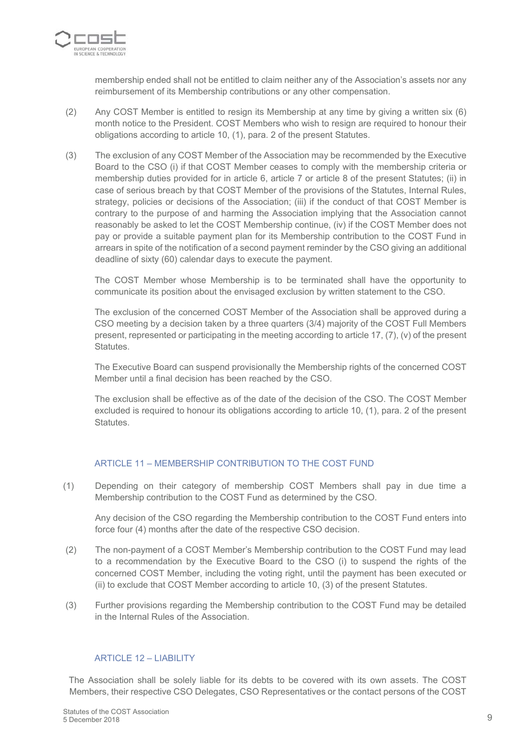

membership ended shall not be entitled to claim neither any of the Association's assets nor any reimbursement of its Membership contributions or any other compensation.

- (2) Any COST Member is entitled to resign its Membership at any time by giving a written six (6) month notice to the President. COST Members who wish to resign are required to honour their obligations according to article 10, (1), para. 2 of the present Statutes.
- (3) The exclusion of any COST Member of the Association may be recommended by the Executive Board to the CSO (i) if that COST Member ceases to comply with the membership criteria or membership duties provided for in article 6, article 7 or article 8 of the present Statutes; (ii) in case of serious breach by that COST Member of the provisions of the Statutes, Internal Rules, strategy, policies or decisions of the Association; (iii) if the conduct of that COST Member is contrary to the purpose of and harming the Association implying that the Association cannot reasonably be asked to let the COST Membership continue, (iv) if the COST Member does not pay or provide a suitable payment plan for its Membership contribution to the COST Fund in arrears in spite of the notification of a second payment reminder by the CSO giving an additional deadline of sixty (60) calendar days to execute the payment.

The COST Member whose Membership is to be terminated shall have the opportunity to communicate its position about the envisaged exclusion by written statement to the CSO.

The exclusion of the concerned COST Member of the Association shall be approved during a CSO meeting by a decision taken by a three quarters (3/4) majority of the COST Full Members present, represented or participating in the meeting according to article 17, (7), (v) of the present Statutes.

The Executive Board can suspend provisionally the Membership rights of the concerned COST Member until a final decision has been reached by the CSO.

The exclusion shall be effective as of the date of the decision of the CSO. The COST Member excluded is required to honour its obligations according to article 10, (1), para. 2 of the present Statutes.

#### ARTICLE 11 – MEMBERSHIP CONTRIBUTION TO THE COST FUND

(1) Depending on their category of membership COST Members shall pay in due time a Membership contribution to the COST Fund as determined by the CSO.

Any decision of the CSO regarding the Membership contribution to the COST Fund enters into force four (4) months after the date of the respective CSO decision.

- (2) The non-payment of a COST Member's Membership contribution to the COST Fund may lead to a recommendation by the Executive Board to the CSO (i) to suspend the rights of the concerned COST Member, including the voting right, until the payment has been executed or (ii) to exclude that COST Member according to article 10, (3) of the present Statutes.
- (3) Further provisions regarding the Membership contribution to the COST Fund may be detailed in the Internal Rules of the Association.

#### ARTICLE 12 – LIABILITY

The Association shall be solely liable for its debts to be covered with its own assets. The COST Members, their respective CSO Delegates, CSO Representatives or the contact persons of the COST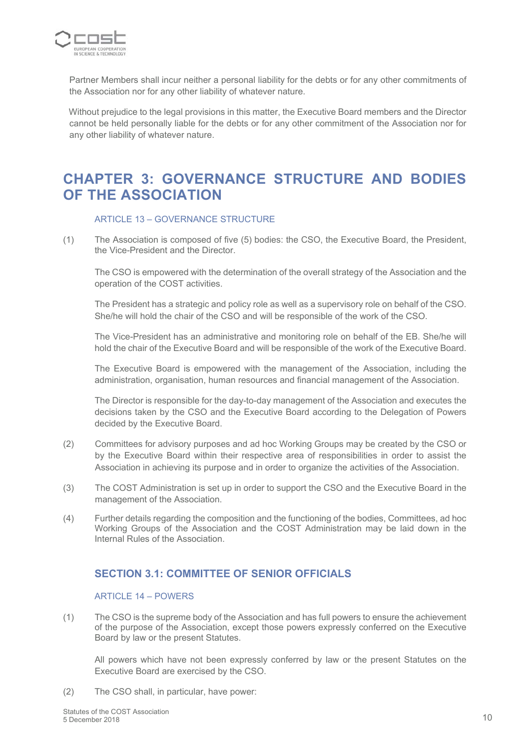

Partner Members shall incur neither a personal liability for the debts or for any other commitments of the Association nor for any other liability of whatever nature.

Without prejudice to the legal provisions in this matter, the Executive Board members and the Director cannot be held personally liable for the debts or for any other commitment of the Association nor for any other liability of whatever nature.

## **CHAPTER 3: GOVERNANCE STRUCTURE AND BODIES OF THE ASSOCIATION**

ARTICLE 13 – GOVERNANCE STRUCTURE

(1) The Association is composed of five (5) bodies: the CSO, the Executive Board, the President, the Vice-President and the Director.

The CSO is empowered with the determination of the overall strategy of the Association and the operation of the COST activities.

The President has a strategic and policy role as well as a supervisory role on behalf of the CSO. She/he will hold the chair of the CSO and will be responsible of the work of the CSO.

The Vice-President has an administrative and monitoring role on behalf of the EB. She/he will hold the chair of the Executive Board and will be responsible of the work of the Executive Board.

The Executive Board is empowered with the management of the Association, including the administration, organisation, human resources and financial management of the Association.

The Director is responsible for the day-to-day management of the Association and executes the decisions taken by the CSO and the Executive Board according to the Delegation of Powers decided by the Executive Board.

- (2) Committees for advisory purposes and ad hoc Working Groups may be created by the CSO or by the Executive Board within their respective area of responsibilities in order to assist the Association in achieving its purpose and in order to organize the activities of the Association.
- (3) The COST Administration is set up in order to support the CSO and the Executive Board in the management of the Association.
- (4) Further details regarding the composition and the functioning of the bodies, Committees, ad hoc Working Groups of the Association and the COST Administration may be laid down in the Internal Rules of the Association.

### **SECTION 3.1: COMMITTEE OF SENIOR OFFICIALS**

#### ARTICLE 14 – POWERS

(1) The CSO is the supreme body of the Association and has full powers to ensure the achievement of the purpose of the Association, except those powers expressly conferred on the Executive Board by law or the present Statutes.

All powers which have not been expressly conferred by law or the present Statutes on the Executive Board are exercised by the CSO.

(2) The CSO shall, in particular, have power: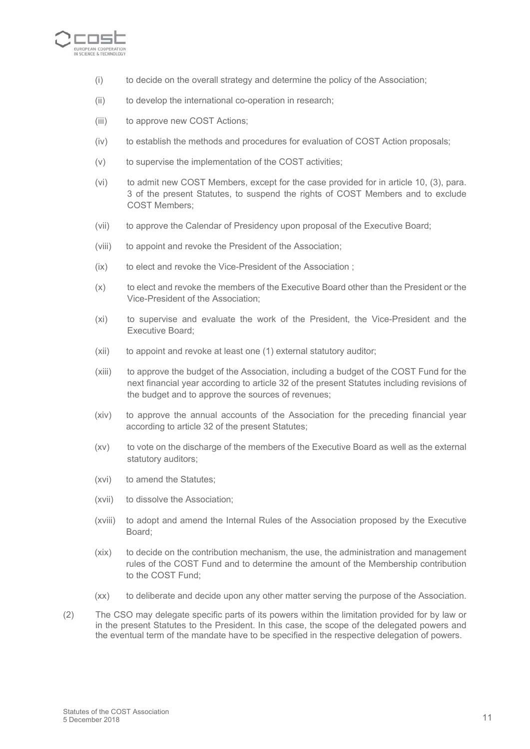

- (i) to decide on the overall strategy and determine the policy of the Association;
- (ii) to develop the international co-operation in research;
- (iii) to approve new COST Actions;
- (iv) to establish the methods and procedures for evaluation of COST Action proposals;
- (v) to supervise the implementation of the COST activities;
- (vi) to admit new COST Members, except for the case provided for in article 10, (3), para. 3 of the present Statutes, to suspend the rights of COST Members and to exclude COST Members;
- (vii) to approve the Calendar of Presidency upon proposal of the Executive Board;
- (viii) to appoint and revoke the President of the Association;
- (ix) to elect and revoke the Vice-President of the Association :
- (x) to elect and revoke the members of the Executive Board other than the President or the Vice-President of the Association;
- (xi) to supervise and evaluate the work of the President, the Vice-President and the Executive Board;
- (xii) to appoint and revoke at least one (1) external statutory auditor;
- (xiii) to approve the budget of the Association, including a budget of the COST Fund for the next financial year according to article 32 of the present Statutes including revisions of the budget and to approve the sources of revenues;
- (xiv) to approve the annual accounts of the Association for the preceding financial year according to article 32 of the present Statutes;
- (xv) to vote on the discharge of the members of the Executive Board as well as the external statutory auditors;
- (xvi) to amend the Statutes;
- (xvii) to dissolve the Association;
- (xviii) to adopt and amend the Internal Rules of the Association proposed by the Executive Board;
- (xix) to decide on the contribution mechanism, the use, the administration and management rules of the COST Fund and to determine the amount of the Membership contribution to the COST Fund;
- (xx) to deliberate and decide upon any other matter serving the purpose of the Association.
- (2) The CSO may delegate specific parts of its powers within the limitation provided for by law or in the present Statutes to the President. In this case, the scope of the delegated powers and the eventual term of the mandate have to be specified in the respective delegation of powers.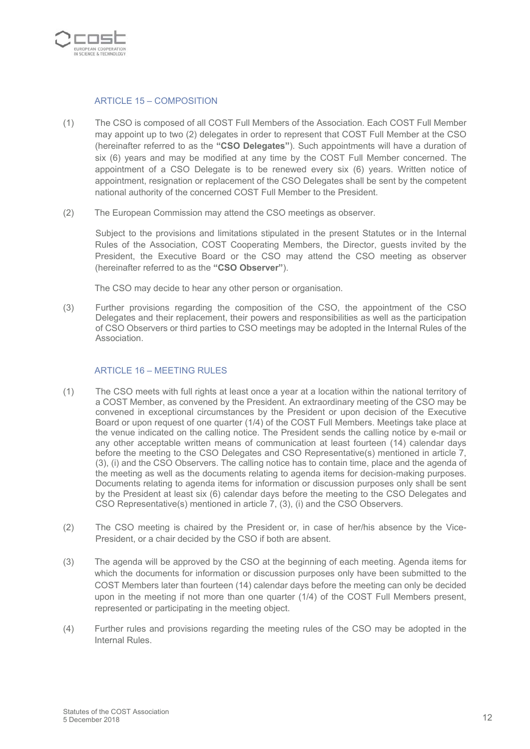

#### ARTICLE 15 – COMPOSITION

- (1) The CSO is composed of all COST Full Members of the Association. Each COST Full Member may appoint up to two (2) delegates in order to represent that COST Full Member at the CSO (hereinafter referred to as the **"CSO Delegates"**). Such appointments will have a duration of six (6) years and may be modified at any time by the COST Full Member concerned. The appointment of a CSO Delegate is to be renewed every six (6) years. Written notice of appointment, resignation or replacement of the CSO Delegates shall be sent by the competent national authority of the concerned COST Full Member to the President.
- (2) The European Commission may attend the CSO meetings as observer.

Subject to the provisions and limitations stipulated in the present Statutes or in the Internal Rules of the Association, COST Cooperating Members, the Director, guests invited by the President, the Executive Board or the CSO may attend the CSO meeting as observer (hereinafter referred to as the **"CSO Observer"**).

The CSO may decide to hear any other person or organisation.

(3) Further provisions regarding the composition of the CSO, the appointment of the CSO Delegates and their replacement, their powers and responsibilities as well as the participation of CSO Observers or third parties to CSO meetings may be adopted in the Internal Rules of the Association.

#### ARTICLE 16 – MEETING RULES

- (1) The CSO meets with full rights at least once a year at a location within the national territory of a COST Member, as convened by the President. An extraordinary meeting of the CSO may be convened in exceptional circumstances by the President or upon decision of the Executive Board or upon request of one quarter (1/4) of the COST Full Members. Meetings take place at the venue indicated on the calling notice. The President sends the calling notice by e-mail or any other acceptable written means of communication at least fourteen (14) calendar days before the meeting to the CSO Delegates and CSO Representative(s) mentioned in article 7, (3), (i) and the CSO Observers. The calling notice has to contain time, place and the agenda of the meeting as well as the documents relating to agenda items for decision-making purposes. Documents relating to agenda items for information or discussion purposes only shall be sent by the President at least six (6) calendar days before the meeting to the CSO Delegates and CSO Representative(s) mentioned in article 7, (3), (i) and the CSO Observers.
- (2) The CSO meeting is chaired by the President or, in case of her/his absence by the Vice-President, or a chair decided by the CSO if both are absent.
- (3) The agenda will be approved by the CSO at the beginning of each meeting. Agenda items for which the documents for information or discussion purposes only have been submitted to the COST Members later than fourteen (14) calendar days before the meeting can only be decided upon in the meeting if not more than one quarter (1/4) of the COST Full Members present, represented or participating in the meeting object.
- (4) Further rules and provisions regarding the meeting rules of the CSO may be adopted in the Internal Rules.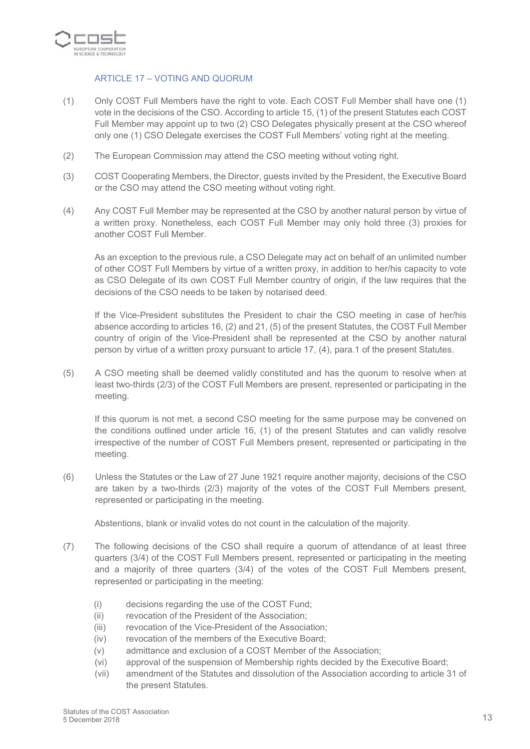

#### ARTICLE 17 – VOTING AND QUORUM

- (1) Only COST Full Members have the right to vote. Each COST Full Member shall have one (1) vote in the decisions of the CSO. According to article 15, (1) of the present Statutes each COST Full Member may appoint up to two (2) CSO Delegates physically present at the CSO whereof only one (1) CSO Delegate exercises the COST Full Members' voting right at the meeting.
- (2) The European Commission may attend the CSO meeting without voting right.
- (3) COST Cooperating Members, the Director, guests invited by the President, the Executive Board or the CSO may attend the CSO meeting without voting right.
- (4) Any COST Full Member may be represented at the CSO by another natural person by virtue of a written proxy. Nonetheless, each COST Full Member may only hold three (3) proxies for another COST Full Member.

As an exception to the previous rule, a CSO Delegate may act on behalf of an unlimited number of other COST Full Members by virtue of a written proxy, in addition to her/his capacity to vote as CSO Delegate of its own COST Full Member country of origin, if the law requires that the decisions of the CSO needs to be taken by notarised deed.

If the Vice-President substitutes the President to chair the CSO meeting in case of her/his absence according to articles 16, (2) and 21, (5) of the present Statutes, the COST Full Member country of origin of the Vice-President shall be represented at the CSO by another natural person by virtue of a written proxy pursuant to article 17, (4), para.1 of the present Statutes.

(5) A CSO meeting shall be deemed validly constituted and has the quorum to resolve when at least two-thirds (2/3) of the COST Full Members are present, represented or participating in the meeting.

If this quorum is not met, a second CSO meeting for the same purpose may be convened on the conditions outlined under article 16, (1) of the present Statutes and can validly resolve irrespective of the number of COST Full Members present, represented or participating in the meeting.

(6) Unless the Statutes or the Law of 27 June 1921 require another majority, decisions of the CSO are taken by a two-thirds (2/3) majority of the votes of the COST Full Members present, represented or participating in the meeting.

Abstentions, blank or invalid votes do not count in the calculation of the majority.

- (7) The following decisions of the CSO shall require a quorum of attendance of at least three quarters (3/4) of the COST Full Members present, represented or participating in the meeting and a majority of three quarters (3/4) of the votes of the COST Full Members present, represented or participating in the meeting:
	- (i) decisions regarding the use of the COST Fund;
	- (ii) revocation of the President of the Association;
	- (iii) revocation of the Vice-President of the Association;
	- (iv) revocation of the members of the Executive Board;
	- (v) admittance and exclusion of a COST Member of the Association;
	- (vi) approval of the suspension of Membership rights decided by the Executive Board;
	- (vii) amendment of the Statutes and dissolution of the Association according to article 31 of the present Statutes.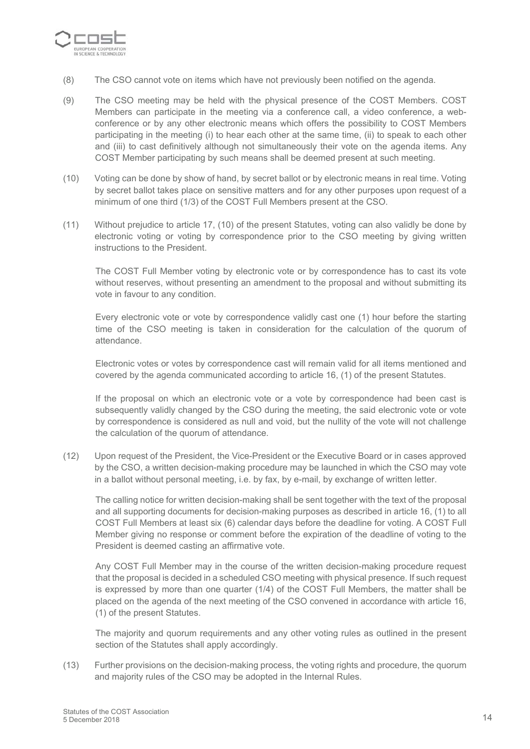

- (8) The CSO cannot vote on items which have not previously been notified on the agenda.
- (9) The CSO meeting may be held with the physical presence of the COST Members. COST Members can participate in the meeting via a conference call, a video conference, a webconference or by any other electronic means which offers the possibility to COST Members participating in the meeting (i) to hear each other at the same time, (ii) to speak to each other and (iii) to cast definitively although not simultaneously their vote on the agenda items. Any COST Member participating by such means shall be deemed present at such meeting.
- (10) Voting can be done by show of hand, by secret ballot or by electronic means in real time. Voting by secret ballot takes place on sensitive matters and for any other purposes upon request of a minimum of one third (1/3) of the COST Full Members present at the CSO.
- (11) Without prejudice to article 17, (10) of the present Statutes, voting can also validly be done by electronic voting or voting by correspondence prior to the CSO meeting by giving written instructions to the President.

The COST Full Member voting by electronic vote or by correspondence has to cast its vote without reserves, without presenting an amendment to the proposal and without submitting its vote in favour to any condition.

Every electronic vote or vote by correspondence validly cast one (1) hour before the starting time of the CSO meeting is taken in consideration for the calculation of the quorum of attendance.

Electronic votes or votes by correspondence cast will remain valid for all items mentioned and covered by the agenda communicated according to article 16, (1) of the present Statutes.

If the proposal on which an electronic vote or a vote by correspondence had been cast is subsequently validly changed by the CSO during the meeting, the said electronic vote or vote by correspondence is considered as null and void, but the nullity of the vote will not challenge the calculation of the quorum of attendance.

(12) Upon request of the President, the Vice-President or the Executive Board or in cases approved by the CSO, a written decision-making procedure may be launched in which the CSO may vote in a ballot without personal meeting, i.e. by fax, by e-mail, by exchange of written letter.

The calling notice for written decision-making shall be sent together with the text of the proposal and all supporting documents for decision-making purposes as described in article 16, (1) to all COST Full Members at least six (6) calendar days before the deadline for voting. A COST Full Member giving no response or comment before the expiration of the deadline of voting to the President is deemed casting an affirmative vote.

Any COST Full Member may in the course of the written decision-making procedure request that the proposal is decided in a scheduled CSO meeting with physical presence. If such request is expressed by more than one quarter (1/4) of the COST Full Members, the matter shall be placed on the agenda of the next meeting of the CSO convened in accordance with article 16, (1) of the present Statutes.

The majority and quorum requirements and any other voting rules as outlined in the present section of the Statutes shall apply accordingly.

(13) Further provisions on the decision-making process, the voting rights and procedure, the quorum and majority rules of the CSO may be adopted in the Internal Rules.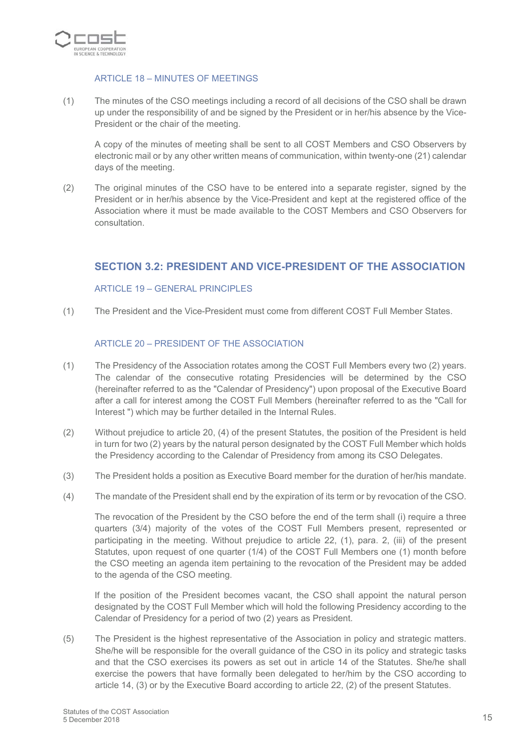

#### ARTICLE 18 – MINUTES OF MEETINGS

(1) The minutes of the CSO meetings including a record of all decisions of the CSO shall be drawn up under the responsibility of and be signed by the President or in her/his absence by the Vice-President or the chair of the meeting.

A copy of the minutes of meeting shall be sent to all COST Members and CSO Observers by electronic mail or by any other written means of communication, within twenty-one (21) calendar days of the meeting.

(2) The original minutes of the CSO have to be entered into a separate register, signed by the President or in her/his absence by the Vice-President and kept at the registered office of the Association where it must be made available to the COST Members and CSO Observers for consultation.

## **SECTION 3.2: PRESIDENT AND VICE-PRESIDENT OF THE ASSOCIATION**

#### ARTICLE 19 – GENERAL PRINCIPLES

(1) The President and the Vice-President must come from different COST Full Member States.

#### ARTICLE 20 – PRESIDENT OF THE ASSOCIATION

- (1) The Presidency of the Association rotates among the COST Full Members every two (2) years. The calendar of the consecutive rotating Presidencies will be determined by the CSO (hereinafter referred to as the "Calendar of Presidency") upon proposal of the Executive Board after a call for interest among the COST Full Members (hereinafter referred to as the "Call for Interest ") which may be further detailed in the Internal Rules.
- (2) Without prejudice to article 20, (4) of the present Statutes, the position of the President is held in turn for two (2) years by the natural person designated by the COST Full Member which holds the Presidency according to the Calendar of Presidency from among its CSO Delegates.
- (3) The President holds a position as Executive Board member for the duration of her/his mandate.
- (4) The mandate of the President shall end by the expiration of its term or by revocation of the CSO.

The revocation of the President by the CSO before the end of the term shall (i) require a three quarters (3/4) majority of the votes of the COST Full Members present, represented or participating in the meeting. Without prejudice to article 22, (1), para. 2, (iii) of the present Statutes, upon request of one quarter (1/4) of the COST Full Members one (1) month before the CSO meeting an agenda item pertaining to the revocation of the President may be added to the agenda of the CSO meeting.

If the position of the President becomes vacant, the CSO shall appoint the natural person designated by the COST Full Member which will hold the following Presidency according to the Calendar of Presidency for a period of two (2) years as President.

(5) The President is the highest representative of the Association in policy and strategic matters. She/he will be responsible for the overall guidance of the CSO in its policy and strategic tasks and that the CSO exercises its powers as set out in article 14 of the Statutes. She/he shall exercise the powers that have formally been delegated to her/him by the CSO according to article 14, (3) or by the Executive Board according to article 22, (2) of the present Statutes.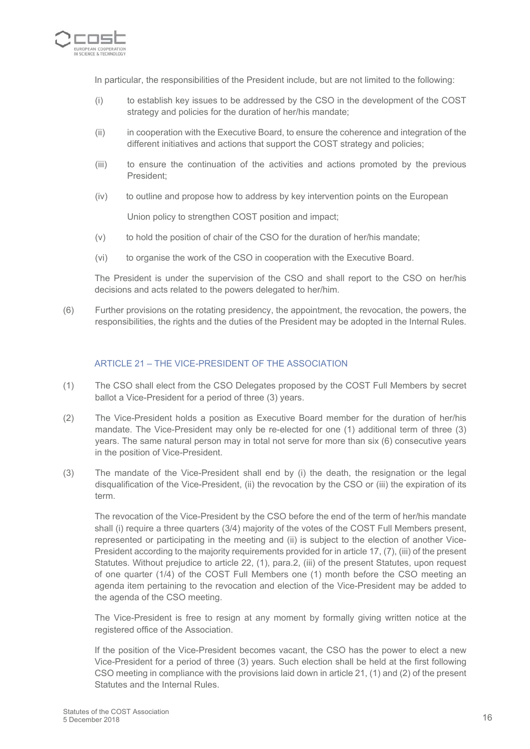

In particular, the responsibilities of the President include, but are not limited to the following:

- (i) to establish key issues to be addressed by the CSO in the development of the COST strategy and policies for the duration of her/his mandate;
- (ii) in cooperation with the Executive Board, to ensure the coherence and integration of the different initiatives and actions that support the COST strategy and policies;
- (iii) to ensure the continuation of the activities and actions promoted by the previous President;
- (iv) to outline and propose how to address by key intervention points on the European

Union policy to strengthen COST position and impact;

- (v) to hold the position of chair of the CSO for the duration of her/his mandate;
- (vi) to organise the work of the CSO in cooperation with the Executive Board.

The President is under the supervision of the CSO and shall report to the CSO on her/his decisions and acts related to the powers delegated to her/him.

(6) Further provisions on the rotating presidency, the appointment, the revocation, the powers, the responsibilities, the rights and the duties of the President may be adopted in the Internal Rules.

#### ARTICLE 21 – THE VICE-PRESIDENT OF THE ASSOCIATION

- (1) The CSO shall elect from the CSO Delegates proposed by the COST Full Members by secret ballot a Vice-President for a period of three (3) years.
- (2) The Vice-President holds a position as Executive Board member for the duration of her/his mandate. The Vice-President may only be re-elected for one (1) additional term of three (3) years. The same natural person may in total not serve for more than six (6) consecutive years in the position of Vice-President.
- (3) The mandate of the Vice-President shall end by (i) the death, the resignation or the legal disqualification of the Vice-President, (ii) the revocation by the CSO or (iii) the expiration of its term.

The revocation of the Vice-President by the CSO before the end of the term of her/his mandate shall (i) require a three quarters (3/4) majority of the votes of the COST Full Members present, represented or participating in the meeting and (ii) is subject to the election of another Vice-President according to the majority requirements provided for in article 17, (7), (iii) of the present Statutes. Without prejudice to article 22, (1), para.2, (iii) of the present Statutes, upon request of one quarter (1/4) of the COST Full Members one (1) month before the CSO meeting an agenda item pertaining to the revocation and election of the Vice-President may be added to the agenda of the CSO meeting.

The Vice-President is free to resign at any moment by formally giving written notice at the registered office of the Association.

If the position of the Vice-President becomes vacant, the CSO has the power to elect a new Vice-President for a period of three (3) years. Such election shall be held at the first following CSO meeting in compliance with the provisions laid down in article 21, (1) and (2) of the present Statutes and the Internal Rules.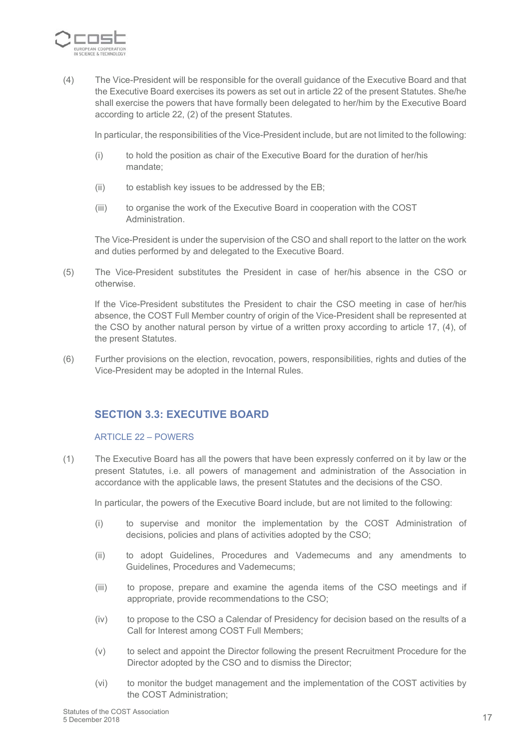

(4) The Vice-President will be responsible for the overall guidance of the Executive Board and that the Executive Board exercises its powers as set out in article 22 of the present Statutes. She/he shall exercise the powers that have formally been delegated to her/him by the Executive Board according to article 22, (2) of the present Statutes.

In particular, the responsibilities of the Vice-President include, but are not limited to the following:

- (i) to hold the position as chair of the Executive Board for the duration of her/his mandate;
- (ii) to establish key issues to be addressed by the EB;
- (iii) to organise the work of the Executive Board in cooperation with the COST Administration.

The Vice-President is under the supervision of the CSO and shall report to the latter on the work and duties performed by and delegated to the Executive Board.

(5) The Vice-President substitutes the President in case of her/his absence in the CSO or otherwise.

If the Vice-President substitutes the President to chair the CSO meeting in case of her/his absence, the COST Full Member country of origin of the Vice-President shall be represented at the CSO by another natural person by virtue of a written proxy according to article 17, (4), of the present Statutes.

(6) Further provisions on the election, revocation, powers, responsibilities, rights and duties of the Vice-President may be adopted in the Internal Rules.

## **SECTION 3.3: EXECUTIVE BOARD**

ARTICLE 22 – POWERS

(1) The Executive Board has all the powers that have been expressly conferred on it by law or the present Statutes, i.e. all powers of management and administration of the Association in accordance with the applicable laws, the present Statutes and the decisions of the CSO.

In particular, the powers of the Executive Board include, but are not limited to the following:

- (i) to supervise and monitor the implementation by the COST Administration of decisions, policies and plans of activities adopted by the CSO;
- (ii) to adopt Guidelines, Procedures and Vademecums and any amendments to Guidelines, Procedures and Vademecums;
- (iii) to propose, prepare and examine the agenda items of the CSO meetings and if appropriate, provide recommendations to the CSO;
- (iv) to propose to the CSO a Calendar of Presidency for decision based on the results of a Call for Interest among COST Full Members;
- (v) to select and appoint the Director following the present Recruitment Procedure for the Director adopted by the CSO and to dismiss the Director;
- (vi) to monitor the budget management and the implementation of the COST activities by the COST Administration;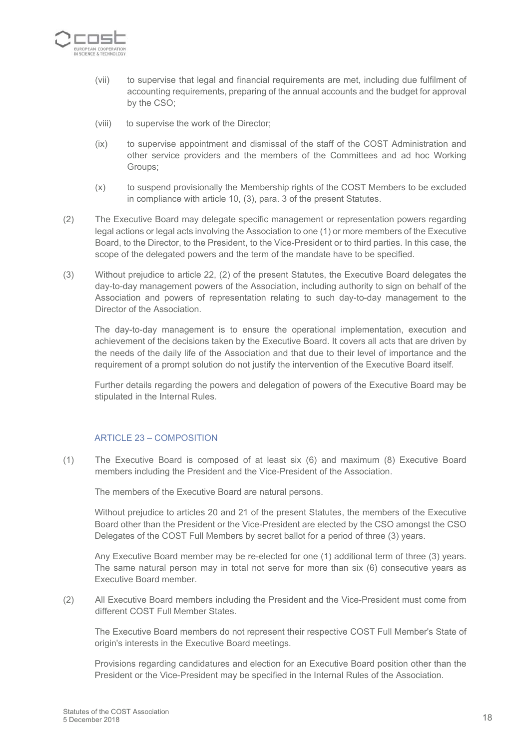

- (vii) to supervise that legal and financial requirements are met, including due fulfilment of accounting requirements, preparing of the annual accounts and the budget for approval by the CSO;
- (viii) to supervise the work of the Director;
- (ix) to supervise appointment and dismissal of the staff of the COST Administration and other service providers and the members of the Committees and ad hoc Working Groups;
- (x) to suspend provisionally the Membership rights of the COST Members to be excluded in compliance with article 10, (3), para. 3 of the present Statutes.
- (2) The Executive Board may delegate specific management or representation powers regarding legal actions or legal acts involving the Association to one (1) or more members of the Executive Board, to the Director, to the President, to the Vice-President or to third parties. In this case, the scope of the delegated powers and the term of the mandate have to be specified.
- (3) Without prejudice to article 22, (2) of the present Statutes, the Executive Board delegates the day-to-day management powers of the Association, including authority to sign on behalf of the Association and powers of representation relating to such day-to-day management to the Director of the Association.

The day-to-day management is to ensure the operational implementation, execution and achievement of the decisions taken by the Executive Board. It covers all acts that are driven by the needs of the daily life of the Association and that due to their level of importance and the requirement of a prompt solution do not justify the intervention of the Executive Board itself.

Further details regarding the powers and delegation of powers of the Executive Board may be stipulated in the Internal Rules.

#### ARTICLE 23 – COMPOSITION

(1) The Executive Board is composed of at least six (6) and maximum (8) Executive Board members including the President and the Vice-President of the Association.

The members of the Executive Board are natural persons.

Without prejudice to articles 20 and 21 of the present Statutes, the members of the Executive Board other than the President or the Vice-President are elected by the CSO amongst the CSO Delegates of the COST Full Members by secret ballot for a period of three (3) years.

Any Executive Board member may be re-elected for one (1) additional term of three (3) years. The same natural person may in total not serve for more than six (6) consecutive years as Executive Board member.

(2) All Executive Board members including the President and the Vice-President must come from different COST Full Member States.

The Executive Board members do not represent their respective COST Full Member's State of origin's interests in the Executive Board meetings.

Provisions regarding candidatures and election for an Executive Board position other than the President or the Vice-President may be specified in the Internal Rules of the Association.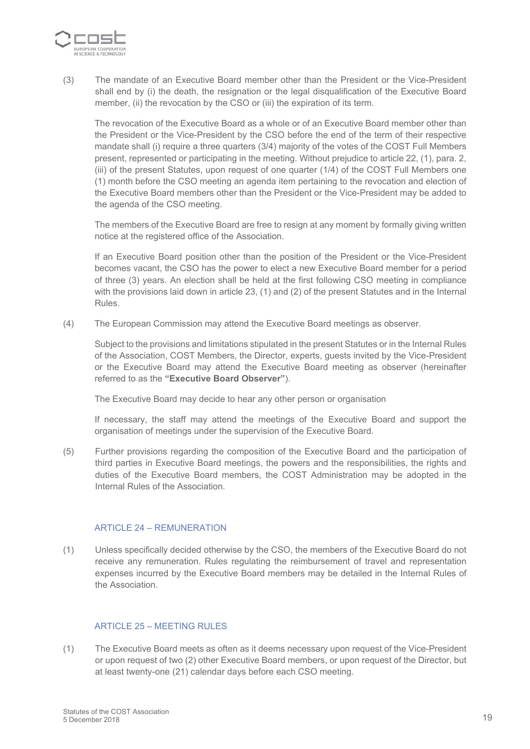

(3) The mandate of an Executive Board member other than the President or the Vice-President shall end by (i) the death, the resignation or the legal disqualification of the Executive Board member, (ii) the revocation by the CSO or (iii) the expiration of its term.

The revocation of the Executive Board as a whole or of an Executive Board member other than the President or the Vice-President by the CSO before the end of the term of their respective mandate shall (i) require a three quarters (3/4) majority of the votes of the COST Full Members present, represented or participating in the meeting. Without prejudice to article 22, (1), para. 2, (iii) of the present Statutes, upon request of one quarter (1/4) of the COST Full Members one (1) month before the CSO meeting an agenda item pertaining to the revocation and election of the Executive Board members other than the President or the Vice-President may be added to the agenda of the CSO meeting.

The members of the Executive Board are free to resign at any moment by formally giving written notice at the registered office of the Association.

If an Executive Board position other than the position of the President or the Vice-President becomes vacant, the CSO has the power to elect a new Executive Board member for a period of three (3) years. An election shall be held at the first following CSO meeting in compliance with the provisions laid down in article 23, (1) and (2) of the present Statutes and in the Internal Rules.

(4) The European Commission may attend the Executive Board meetings as observer.

Subject to the provisions and limitations stipulated in the present Statutes or in the Internal Rules of the Association, COST Members, the Director, experts, guests invited by the Vice-President or the Executive Board may attend the Executive Board meeting as observer (hereinafter referred to as the **"Executive Board Observer"**).

The Executive Board may decide to hear any other person or organisation

If necessary, the staff may attend the meetings of the Executive Board and support the organisation of meetings under the supervision of the Executive Board.

(5) Further provisions regarding the composition of the Executive Board and the participation of third parties in Executive Board meetings, the powers and the responsibilities, the rights and duties of the Executive Board members, the COST Administration may be adopted in the Internal Rules of the Association.

#### ARTICLE 24 – REMUNERATION

(1) Unless specifically decided otherwise by the CSO, the members of the Executive Board do not receive any remuneration. Rules regulating the reimbursement of travel and representation expenses incurred by the Executive Board members may be detailed in the Internal Rules of the Association.

#### ARTICLE 25 – MEETING RULES

(1) The Executive Board meets as often as it deems necessary upon request of the Vice-President or upon request of two (2) other Executive Board members, or upon request of the Director, but at least twenty-one (21) calendar days before each CSO meeting.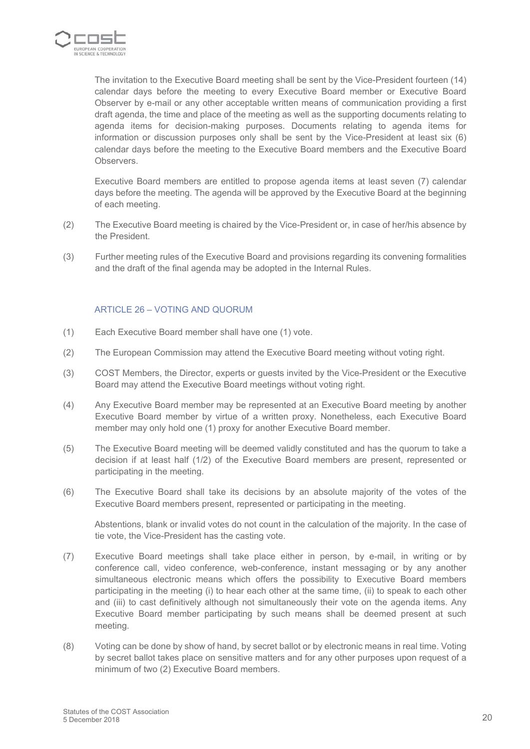

The invitation to the Executive Board meeting shall be sent by the Vice-President fourteen (14) calendar days before the meeting to every Executive Board member or Executive Board Observer by e-mail or any other acceptable written means of communication providing a first draft agenda, the time and place of the meeting as well as the supporting documents relating to agenda items for decision-making purposes. Documents relating to agenda items for information or discussion purposes only shall be sent by the Vice-President at least six (6) calendar days before the meeting to the Executive Board members and the Executive Board **Observers** 

Executive Board members are entitled to propose agenda items at least seven (7) calendar days before the meeting. The agenda will be approved by the Executive Board at the beginning of each meeting.

- (2) The Executive Board meeting is chaired by the Vice-President or, in case of her/his absence by the President.
- (3) Further meeting rules of the Executive Board and provisions regarding its convening formalities and the draft of the final agenda may be adopted in the Internal Rules.

#### ARTICLE 26 – VOTING AND QUORUM

- (1) Each Executive Board member shall have one (1) vote.
- (2) The European Commission may attend the Executive Board meeting without voting right.
- (3) COST Members, the Director, experts or guests invited by the Vice-President or the Executive Board may attend the Executive Board meetings without voting right.
- (4) Any Executive Board member may be represented at an Executive Board meeting by another Executive Board member by virtue of a written proxy. Nonetheless, each Executive Board member may only hold one (1) proxy for another Executive Board member.
- (5) The Executive Board meeting will be deemed validly constituted and has the quorum to take a decision if at least half (1/2) of the Executive Board members are present, represented or participating in the meeting.
- (6) The Executive Board shall take its decisions by an absolute majority of the votes of the Executive Board members present, represented or participating in the meeting.

Abstentions, blank or invalid votes do not count in the calculation of the majority. In the case of tie vote, the Vice-President has the casting vote.

- (7) Executive Board meetings shall take place either in person, by e-mail, in writing or by conference call, video conference, web-conference, instant messaging or by any another simultaneous electronic means which offers the possibility to Executive Board members participating in the meeting (i) to hear each other at the same time, (ii) to speak to each other and (iii) to cast definitively although not simultaneously their vote on the agenda items. Any Executive Board member participating by such means shall be deemed present at such meeting.
- (8) Voting can be done by show of hand, by secret ballot or by electronic means in real time. Voting by secret ballot takes place on sensitive matters and for any other purposes upon request of a minimum of two (2) Executive Board members.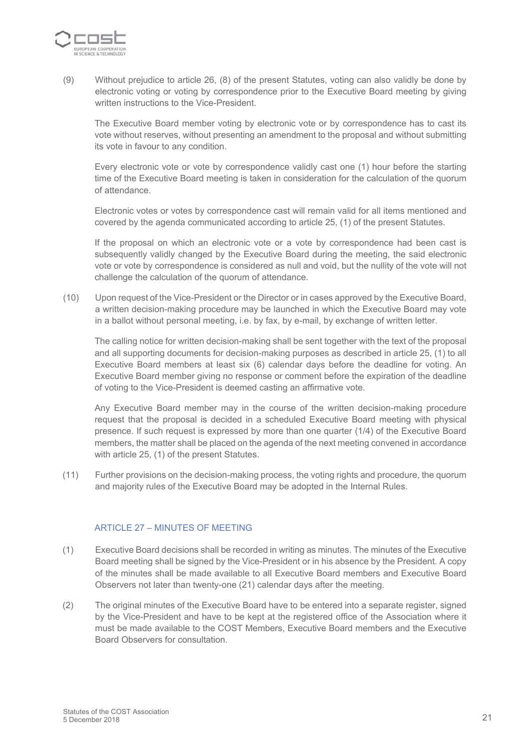

(9) Without prejudice to article 26, (8) of the present Statutes, voting can also validly be done by electronic voting or voting by correspondence prior to the Executive Board meeting by giving written instructions to the Vice-President.

The Executive Board member voting by electronic vote or by correspondence has to cast its vote without reserves, without presenting an amendment to the proposal and without submitting its vote in favour to any condition.

Every electronic vote or vote by correspondence validly cast one (1) hour before the starting time of the Executive Board meeting is taken in consideration for the calculation of the quorum of attendance.

Electronic votes or votes by correspondence cast will remain valid for all items mentioned and covered by the agenda communicated according to article 25, (1) of the present Statutes.

If the proposal on which an electronic vote or a vote by correspondence had been cast is subsequently validly changed by the Executive Board during the meeting, the said electronic vote or vote by correspondence is considered as null and void, but the nullity of the vote will not challenge the calculation of the quorum of attendance.

(10) Upon request of the Vice-President or the Director or in cases approved by the Executive Board, a written decision-making procedure may be launched in which the Executive Board may vote in a ballot without personal meeting, i.e. by fax, by e-mail, by exchange of written letter.

The calling notice for written decision-making shall be sent together with the text of the proposal and all supporting documents for decision-making purposes as described in article 25, (1) to all Executive Board members at least six (6) calendar days before the deadline for voting. An Executive Board member giving no response or comment before the expiration of the deadline of voting to the Vice-President is deemed casting an affirmative vote.

Any Executive Board member may in the course of the written decision-making procedure request that the proposal is decided in a scheduled Executive Board meeting with physical presence. If such request is expressed by more than one quarter (1/4) of the Executive Board members, the matter shall be placed on the agenda of the next meeting convened in accordance with article 25, (1) of the present Statutes.

(11) Further provisions on the decision-making process, the voting rights and procedure, the quorum and majority rules of the Executive Board may be adopted in the Internal Rules.

#### ARTICLE 27 – MINUTES OF MEETING

- (1) Executive Board decisions shall be recorded in writing as minutes. The minutes of the Executive Board meeting shall be signed by the Vice-President or in his absence by the President. A copy of the minutes shall be made available to all Executive Board members and Executive Board Observers not later than twenty-one (21) calendar days after the meeting.
- (2) The original minutes of the Executive Board have to be entered into a separate register, signed by the Vice-President and have to be kept at the registered office of the Association where it must be made available to the COST Members, Executive Board members and the Executive Board Observers for consultation.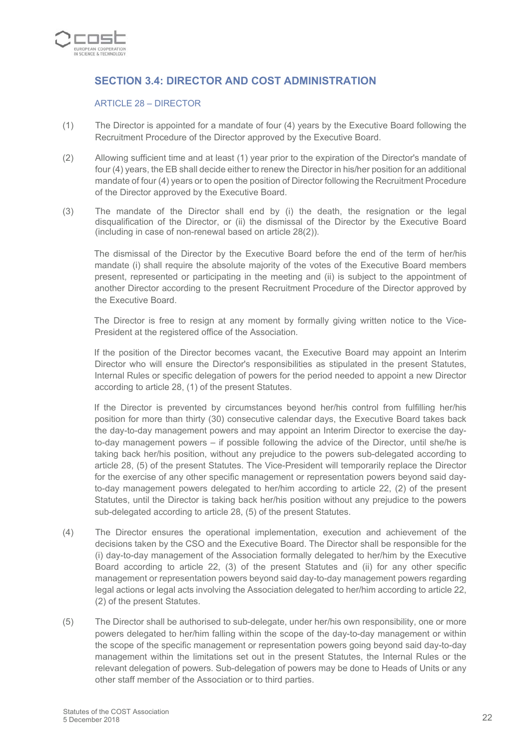

## **SECTION 3.4: DIRECTOR AND COST ADMINISTRATION**

ARTICLE 28 – DIRECTOR

- (1) The Director is appointed for a mandate of four (4) years by the Executive Board following the Recruitment Procedure of the Director approved by the Executive Board.
- (2) Allowing sufficient time and at least (1) year prior to the expiration of the Director's mandate of four (4) years, the EB shall decide either to renew the Director in his/her position for an additional mandate of four (4) years or to open the position of Director following the Recruitment Procedure of the Director approved by the Executive Board.
- (3) The mandate of the Director shall end by (i) the death, the resignation or the legal disqualification of the Director, or (ii) the dismissal of the Director by the Executive Board (including in case of non-renewal based on article 28(2)).

The dismissal of the Director by the Executive Board before the end of the term of her/his mandate (i) shall require the absolute majority of the votes of the Executive Board members present, represented or participating in the meeting and (ii) is subject to the appointment of another Director according to the present Recruitment Procedure of the Director approved by the Executive Board.

The Director is free to resign at any moment by formally giving written notice to the Vice-President at the registered office of the Association.

If the position of the Director becomes vacant, the Executive Board may appoint an Interim Director who will ensure the Director's responsibilities as stipulated in the present Statutes, Internal Rules or specific delegation of powers for the period needed to appoint a new Director according to article 28, (1) of the present Statutes.

If the Director is prevented by circumstances beyond her/his control from fulfilling her/his position for more than thirty (30) consecutive calendar days, the Executive Board takes back the day-to-day management powers and may appoint an Interim Director to exercise the dayto-day management powers – if possible following the advice of the Director, until she/he is taking back her/his position, without any prejudice to the powers sub-delegated according to article 28, (5) of the present Statutes. The Vice-President will temporarily replace the Director for the exercise of any other specific management or representation powers beyond said dayto-day management powers delegated to her/him according to article 22, (2) of the present Statutes, until the Director is taking back her/his position without any prejudice to the powers sub-delegated according to article 28, (5) of the present Statutes.

- (4) The Director ensures the operational implementation, execution and achievement of the decisions taken by the CSO and the Executive Board. The Director shall be responsible for the (i) day-to-day management of the Association formally delegated to her/him by the Executive Board according to article 22, (3) of the present Statutes and (ii) for any other specific management or representation powers beyond said day-to-day management powers regarding legal actions or legal acts involving the Association delegated to her/him according to article 22, (2) of the present Statutes.
- (5) The Director shall be authorised to sub-delegate, under her/his own responsibility, one or more powers delegated to her/him falling within the scope of the day-to-day management or within the scope of the specific management or representation powers going beyond said day-to-day management within the limitations set out in the present Statutes, the Internal Rules or the relevant delegation of powers. Sub-delegation of powers may be done to Heads of Units or any other staff member of the Association or to third parties.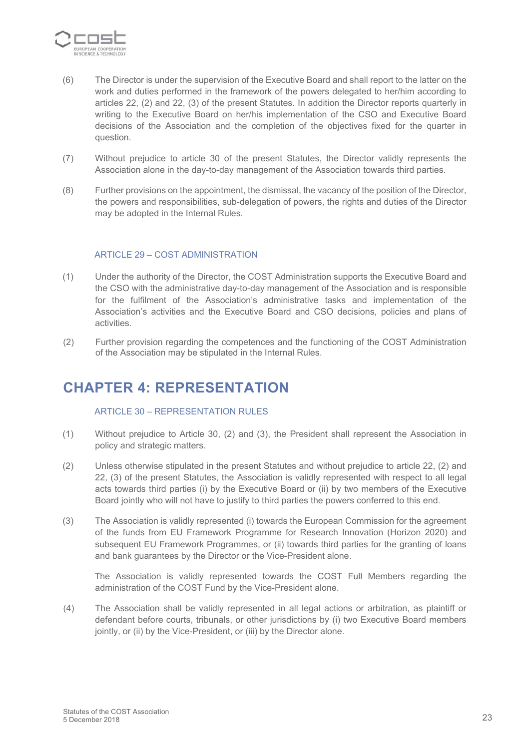

- (6) The Director is under the supervision of the Executive Board and shall report to the latter on the work and duties performed in the framework of the powers delegated to her/him according to articles 22, (2) and 22, (3) of the present Statutes. In addition the Director reports quarterly in writing to the Executive Board on her/his implementation of the CSO and Executive Board decisions of the Association and the completion of the objectives fixed for the quarter in question.
- (7) Without prejudice to article 30 of the present Statutes, the Director validly represents the Association alone in the day-to-day management of the Association towards third parties.
- (8) Further provisions on the appointment, the dismissal, the vacancy of the position of the Director, the powers and responsibilities, sub-delegation of powers, the rights and duties of the Director may be adopted in the Internal Rules.

#### ARTICLE 29 – COST ADMINISTRATION

- (1) Under the authority of the Director, the COST Administration supports the Executive Board and the CSO with the administrative day-to-day management of the Association and is responsible for the fulfilment of the Association's administrative tasks and implementation of the Association's activities and the Executive Board and CSO decisions, policies and plans of activities.
- (2) Further provision regarding the competences and the functioning of the COST Administration of the Association may be stipulated in the Internal Rules.

## **CHAPTER 4: REPRESENTATION**

#### ARTICLE 30 – REPRESENTATION RULES

- (1) Without prejudice to Article 30, (2) and (3), the President shall represent the Association in policy and strategic matters.
- (2) Unless otherwise stipulated in the present Statutes and without prejudice to article 22, (2) and 22, (3) of the present Statutes, the Association is validly represented with respect to all legal acts towards third parties (i) by the Executive Board or (ii) by two members of the Executive Board jointly who will not have to justify to third parties the powers conferred to this end.
- (3) The Association is validly represented (i) towards the European Commission for the agreement of the funds from EU Framework Programme for Research Innovation (Horizon 2020) and subsequent EU Framework Programmes, or (ii) towards third parties for the granting of loans and bank guarantees by the Director or the Vice-President alone.

The Association is validly represented towards the COST Full Members regarding the administration of the COST Fund by the Vice-President alone.

(4) The Association shall be validly represented in all legal actions or arbitration, as plaintiff or defendant before courts, tribunals, or other jurisdictions by (i) two Executive Board members jointly, or (ii) by the Vice-President, or (iii) by the Director alone.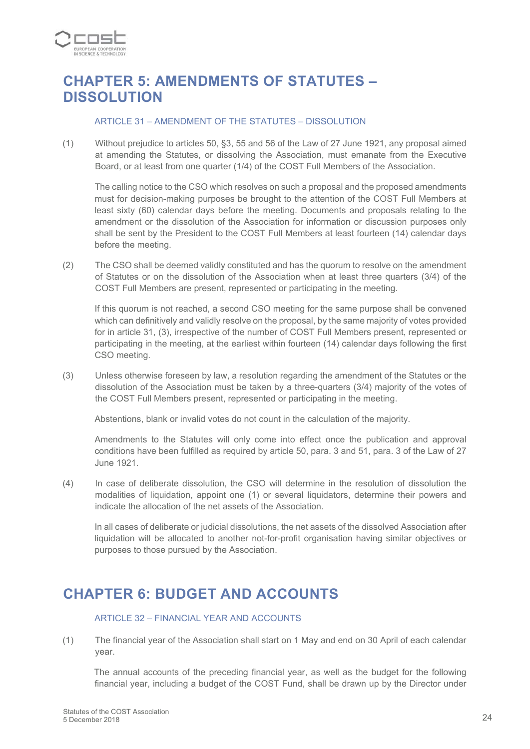

# **CHAPTER 5: AMENDMENTS OF STATUTES – DISSOLUTION**

#### ARTICLE 31 – AMENDMENT OF THE STATUTES – DISSOLUTION

(1) Without prejudice to articles 50, §3, 55 and 56 of the Law of 27 June 1921, any proposal aimed at amending the Statutes, or dissolving the Association, must emanate from the Executive Board, or at least from one quarter (1/4) of the COST Full Members of the Association.

The calling notice to the CSO which resolves on such a proposal and the proposed amendments must for decision-making purposes be brought to the attention of the COST Full Members at least sixty (60) calendar days before the meeting. Documents and proposals relating to the amendment or the dissolution of the Association for information or discussion purposes only shall be sent by the President to the COST Full Members at least fourteen (14) calendar days before the meeting.

(2) The CSO shall be deemed validly constituted and has the quorum to resolve on the amendment of Statutes or on the dissolution of the Association when at least three quarters (3/4) of the COST Full Members are present, represented or participating in the meeting.

If this quorum is not reached, a second CSO meeting for the same purpose shall be convened which can definitively and validly resolve on the proposal, by the same majority of votes provided for in article 31, (3), irrespective of the number of COST Full Members present, represented or participating in the meeting, at the earliest within fourteen (14) calendar days following the first CSO meeting.

(3) Unless otherwise foreseen by law, a resolution regarding the amendment of the Statutes or the dissolution of the Association must be taken by a three-quarters (3/4) majority of the votes of the COST Full Members present, represented or participating in the meeting.

Abstentions, blank or invalid votes do not count in the calculation of the majority.

Amendments to the Statutes will only come into effect once the publication and approval conditions have been fulfilled as required by article 50, para. 3 and 51, para. 3 of the Law of 27 June 1921.

(4) In case of deliberate dissolution, the CSO will determine in the resolution of dissolution the modalities of liquidation, appoint one (1) or several liquidators, determine their powers and indicate the allocation of the net assets of the Association.

In all cases of deliberate or judicial dissolutions, the net assets of the dissolved Association after liquidation will be allocated to another not-for-profit organisation having similar objectives or purposes to those pursued by the Association.

# **CHAPTER 6: BUDGET AND ACCOUNTS**

#### ARTICLE 32 – FINANCIAL YEAR AND ACCOUNTS

(1) The financial year of the Association shall start on 1 May and end on 30 April of each calendar year.

The annual accounts of the preceding financial year, as well as the budget for the following financial year, including a budget of the COST Fund, shall be drawn up by the Director under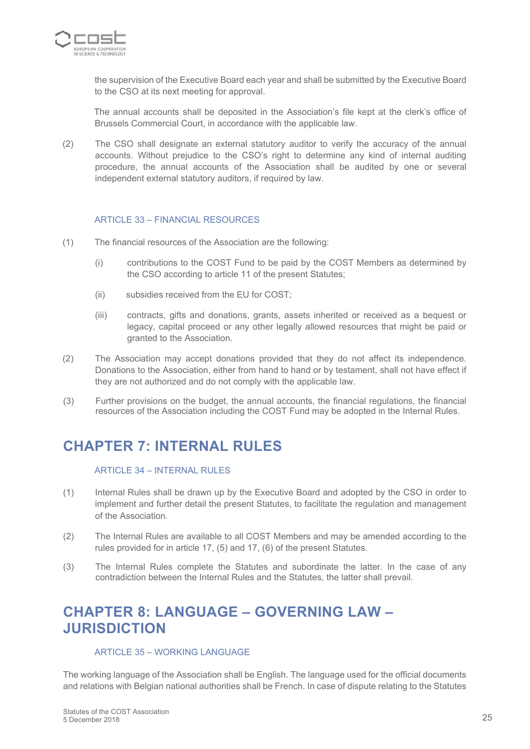

the supervision of the Executive Board each year and shall be submitted by the Executive Board to the CSO at its next meeting for approval.

The annual accounts shall be deposited in the Association's file kept at the clerk's office of Brussels Commercial Court, in accordance with the applicable law.

(2) The CSO shall designate an external statutory auditor to verify the accuracy of the annual accounts. Without prejudice to the CSO's right to determine any kind of internal auditing procedure, the annual accounts of the Association shall be audited by one or several independent external statutory auditors, if required by law.

#### ARTICLE 33 – FINANCIAL RESOURCES

- (1) The financial resources of the Association are the following:
	- (i) contributions to the COST Fund to be paid by the COST Members as determined by the CSO according to article 11 of the present Statutes;
	- (ii) subsidies received from the EU for COST;
	- (iii) contracts, gifts and donations, grants, assets inherited or received as a bequest or legacy, capital proceed or any other legally allowed resources that might be paid or granted to the Association.
- (2) The Association may accept donations provided that they do not affect its independence. Donations to the Association, either from hand to hand or by testament, shall not have effect if they are not authorized and do not comply with the applicable law.
- (3) Further provisions on the budget, the annual accounts, the financial regulations, the financial resources of the Association including the COST Fund may be adopted in the Internal Rules.

# **CHAPTER 7: INTERNAL RULES**

#### ARTICLE 34 – INTERNAL RULES

- (1) Internal Rules shall be drawn up by the Executive Board and adopted by the CSO in order to implement and further detail the present Statutes, to facilitate the regulation and management of the Association.
- (2) The Internal Rules are available to all COST Members and may be amended according to the rules provided for in article 17, (5) and 17, (6) of the present Statutes.
- (3) The Internal Rules complete the Statutes and subordinate the latter. In the case of any contradiction between the Internal Rules and the Statutes, the latter shall prevail.

# **CHAPTER 8: LANGUAGE – GOVERNING LAW – JURISDICTION**

#### ARTICLE 35 – WORKING LANGUAGE

The working language of the Association shall be English. The language used for the official documents and relations with Belgian national authorities shall be French. In case of dispute relating to the Statutes